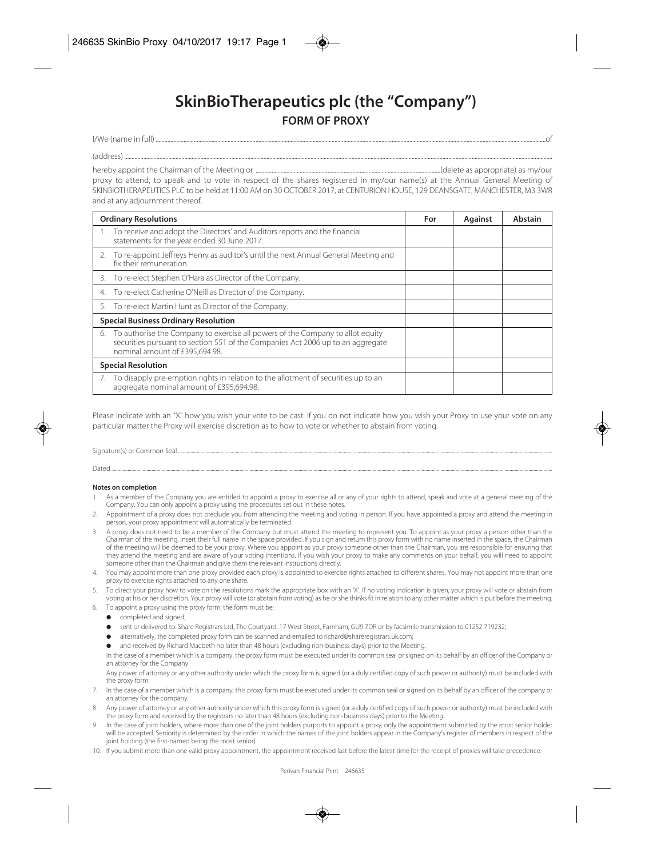## **SkinBioTherapeutics plc (the "Company") FORM OF PROXY**

I/We (name in full) experience in full of the set of the set of the set of the set of the set of the set of the set of the set of the set of the set of the set of the set of the set of the set of the set of the set of the

(address) .................................................................................................................................................................................................................................................................................................... hereby appoint the Chairman of the Meeting or ..............................................................................................................................(delete as appropriate) as my/our

proxy to attend, to speak and to vote in respect of the shares registered in my/our name(s) at the Annual General Meeting of SKINBIOTHERAPEUTICS PLC to be held at 11:00 AM on 30 OCTOBER 2017, at CENTURION HOUSE, 129 DEANSGATE, MANCHESTER, M3 3WR and at any adjournment thereof.

| <b>Ordinary Resolutions</b>                 |                                                                                                                                                                      | For | Against | Abstain |
|---------------------------------------------|----------------------------------------------------------------------------------------------------------------------------------------------------------------------|-----|---------|---------|
|                                             | 1. To receive and adopt the Directors' and Auditors reports and the financial<br>statements for the year ended 30 June 2017.                                         |     |         |         |
| fix their remuneration.                     | 2. To re-appoint Jeffreys Henry as auditor's until the next Annual General Meeting and                                                                               |     |         |         |
| 3.                                          | To re-elect Stephen O'Hara as Director of the Company.                                                                                                               |     |         |         |
| 4.                                          | To re-elect Catherine O'Neill as Director of the Company.                                                                                                            |     |         |         |
|                                             | 5. To re-elect Martin Hunt as Director of the Company.                                                                                                               |     |         |         |
| <b>Special Business Ordinary Resolution</b> |                                                                                                                                                                      |     |         |         |
| nominal amount of £395,694.98.              | 6. To authorise the Company to exercise all powers of the Company to allot equity<br>securities pursuant to section 551 of the Companies Act 2006 up to an aggregate |     |         |         |
| <b>Special Resolution</b>                   |                                                                                                                                                                      |     |         |         |
|                                             | 7. To disapply pre-emption rights in relation to the allotment of securities up to an<br>aggregate nominal amount of £395,694.98.                                    |     |         |         |

Please indicate with an "X" how you wish your vote to be cast. If you do not indicate how you wish your Proxy to use your vote on any particular matter the Proxy will exercise discretion as to how to vote or whether to abstain from voting.

Signature(s) or Common Seal .......

Dated ...............................................................................................................................................................................................................................................................................................................................................................

## **Notes on completion**

- 1. As a member of the Company you are entitled to appoint a proxy to exercise all or any of your rights to attend, speak and vote at a general meeting of the Company. You can only appoint a proxy using the procedures set out in these notes.
- 2. Appointment of a proxy does not preclude you from attending the meeting and voting in person. If you have appointed a proxy and attend the meeting in person, your proxy appointment will automatically be terminated.
- 3. A proxy does not need to be a member of the Company but must attend the meeting to represent you. To appoint as your proxy a person other than the Chairman of the meeting, insert their full name in the space provided. If you sign and return this proxy form with no name inserted in the space, the Chairman of the meeting will be deemed to be your proxy. Where you appoint as your proxy someone other than the Chairman, you are responsible for ensuring that they attend the meeting and are aware of your voting intentions. If you wish your proxy to make any comments on your behalf, you will need to appoint someone other than the Chairman and give them the relevant instructions directly.
- You may appoint more than one proxy provided each proxy is appointed to exercise rights attached to different shares. You may not appoint more than one proxy to exercise rights attached to any one share.
- 5. To direct your proxy how to vote on the resolutions mark the appropriate box with an 'X'. If no voting indication is given, your proxy will vote or abstain from voting at his or her discretion. Your proxy will vote (or abstain from voting) as he or she thinks fit in relation to any other matter which is put before the meeting.
- 6. To appoint a proxy using the proxy form, the form must be:
	- **•** completed and signed;
	- sent or delivered to: Share Registrars Ltd, The Courtyard, 17 West Street, Farnham, GU9 7DR or by facsimile transmission to 01252 719232;
	- alternatively, the completed proxy form can be scanned and emailed to richard@shareregistrars.uk.com;
	- and received by Richard Macbeth no later than 48 hours (excluding non-business days) prior to the Meeting.

 In the case of a member which is a company, the proxy form must be executed under its common seal or signed on its behalf by an officer of the Company or an attorney for the Company.

 Any power of attorney or any other authority under which the proxy form is signed (or a duly certified copy of such power or authority) must be included with the proxy form.

- 7. In the case of a member which is a company, this proxy form must be executed under its common seal or signed on its behalf by an officer of the company or an attorney for the company.
- 8. Any power of attorney or any other authority under which this proxy form is signed (or a duly certified copy of such power or authority) must be included with the proxy form and received by the registrars no later than 48 hours (excluding non-business days) prior to the Meeting.
- 9. In the case of joint holders, where more than one of the joint holders purports to appoint a proxy, only the appointment submitted by the most senior holder will be accepted. Seniority is determined by the order in which the names of the joint holders appear in the Company's register of members in respect of the joint holding (the first-named being the most senior).
- 10. If you submit more than one valid proxy appointment, the appointment received last before the latest time for the receipt of proxies will take precedence.